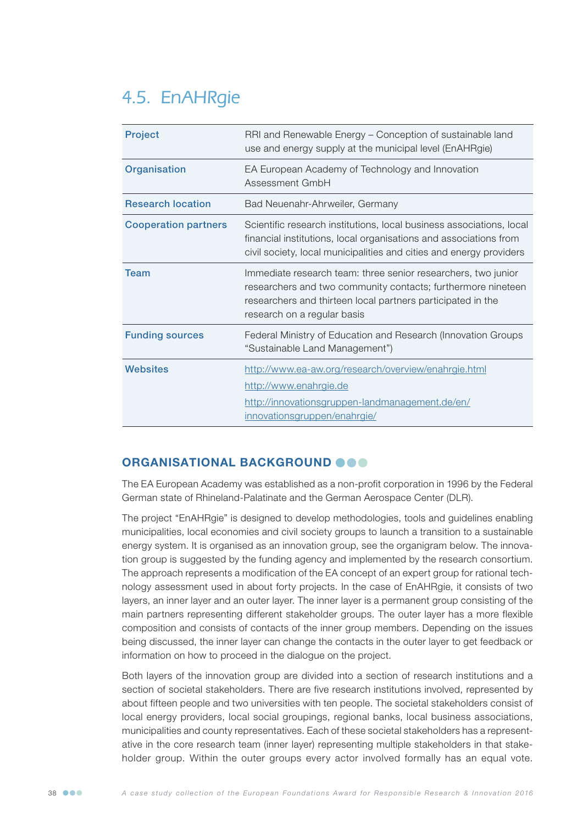# 4.5. EnAHRgie

| <b>Project</b>              | RRI and Renewable Energy - Conception of sustainable land<br>use and energy supply at the municipal level (EnAHRgie)                                                                                                        |
|-----------------------------|-----------------------------------------------------------------------------------------------------------------------------------------------------------------------------------------------------------------------------|
| Organisation                | EA European Academy of Technology and Innovation<br>Assessment GmbH                                                                                                                                                         |
| <b>Research location</b>    | Bad Neuenahr-Ahrweiler, Germany                                                                                                                                                                                             |
| <b>Cooperation partners</b> | Scientific research institutions, local business associations, local<br>financial institutions, local organisations and associations from<br>civil society, local municipalities and cities and energy providers            |
| <b>Team</b>                 | Immediate research team: three senior researchers, two junior<br>researchers and two community contacts; furthermore nineteen<br>researchers and thirteen local partners participated in the<br>research on a regular basis |
| <b>Funding sources</b>      | Federal Ministry of Education and Research (Innovation Groups<br>"Sustainable Land Management")                                                                                                                             |
| Websites                    | http://www.ea-aw.org/research/overview/enahrgie.html<br>http://www.enahrgie.de<br>http://innovationsgruppen-landmanagement.de/en/<br>innovationsgruppen/enahrgie/                                                           |

## ORGANISATIONAL BACKGROUND @@@

The EA European Academy was established as a non-profit corporation in 1996 by the Federal German state of Rhineland-Palatinate and the German Aerospace Center (DLR).

The project "EnAHRgie" is designed to develop methodologies, tools and guidelines enabling municipalities, local economies and civil society groups to launch a transition to a sustainable energy system. It is organised as an innovation group, see the organigram below. The innovation group is suggested by the funding agency and implemented by the research consortium. The approach represents a modification of the EA concept of an expert group for rational technology assessment used in about forty projects. In the case of EnAHRgie, it consists of two layers, an inner layer and an outer layer. The inner layer is a permanent group consisting of the main partners representing different stakeholder groups. The outer layer has a more flexible composition and consists of contacts of the inner group members. Depending on the issues being discussed, the inner layer can change the contacts in the outer layer to get feedback or information on how to proceed in the dialogue on the project.

Both layers of the innovation group are divided into a section of research institutions and a section of societal stakeholders. There are five research institutions involved, represented by about fifteen people and two universities with ten people. The societal stakeholders consist of local energy providers, local social groupings, regional banks, local business associations, municipalities and county representatives. Each of these societal stakeholders has a representative in the core research team (inner layer) representing multiple stakeholders in that stakeholder group. Within the outer groups every actor involved formally has an equal vote.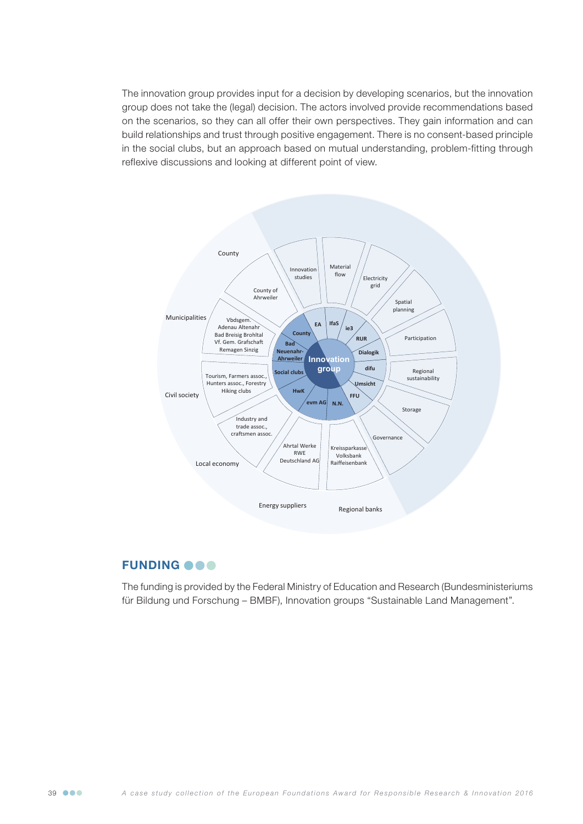The innovation group provides input for a decision by developing scenarios, but the innovation group does not take the (legal) decision. The actors involved provide recommendations based on the scenarios, so they can all offer their own perspectives. They gain information and can build relationships and trust through positive engagement. There is no consent-based principle in the social clubs, but an approach based on mutual understanding, problem-fitting through reflexive discussions and looking at different point of view.



## **FUNDING OOO**

The funding is provided by the Federal Ministry of Education and Research (Bundesministeriums für Bildung und Forschung – BMBF), Innovation groups "Sustainable Land Management".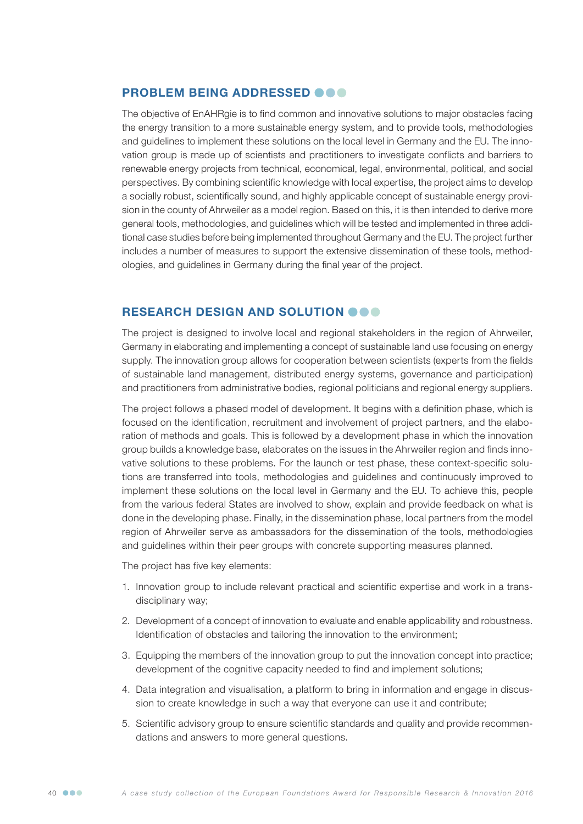#### PROBLEM BEING ADDRESSED @@@

The objective of EnAHRgie is to find common and innovative solutions to major obstacles facing the energy transition to a more sustainable energy system, and to provide tools, methodologies and guidelines to implement these solutions on the local level in Germany and the EU. The innovation group is made up of scientists and practitioners to investigate conflicts and barriers to renewable energy projects from technical, economical, legal, environmental, political, and social perspectives. By combining scientific knowledge with local expertise, the project aims to develop a socially robust, scientifically sound, and highly applicable concept of sustainable energy provision in the county of Ahrweiler as a model region. Based on this, it is then intended to derive more general tools, methodologies, and guidelines which will be tested and implemented in three additional case studies before being implemented throughout Germany and the EU. The project further includes a number of measures to support the extensive dissemination of these tools, methodologies, and guidelines in Germany during the final year of the project.

### RESEARCH DESIGN AND SOLUTION OOO

The project is designed to involve local and regional stakeholders in the region of Ahrweiler, Germany in elaborating and implementing a concept of sustainable land use focusing on energy supply. The innovation group allows for cooperation between scientists (experts from the fields of sustainable land management, distributed energy systems, governance and participation) and practitioners from administrative bodies, regional politicians and regional energy suppliers.

The project follows a phased model of development. It begins with a definition phase, which is focused on the identification, recruitment and involvement of project partners, and the elaboration of methods and goals. This is followed by a development phase in which the innovation group builds a knowledge base, elaborates on the issues in the Ahrweiler region and finds innovative solutions to these problems. For the launch or test phase, these context-specific solutions are transferred into tools, methodologies and guidelines and continuously improved to implement these solutions on the local level in Germany and the EU. To achieve this, people from the various federal States are involved to show, explain and provide feedback on what is done in the developing phase. Finally, in the dissemination phase, local partners from the model region of Ahrweiler serve as ambassadors for the dissemination of the tools, methodologies and guidelines within their peer groups with concrete supporting measures planned.

The project has five key elements:

- 1. Innovation group to include relevant practical and scientific expertise and work in a transdisciplinary way;
- 2. Development of a concept of innovation to evaluate and enable applicability and robustness. Identification of obstacles and tailoring the innovation to the environment;
- 3. Equipping the members of the innovation group to put the innovation concept into practice; development of the cognitive capacity needed to find and implement solutions;
- 4. Data integration and visualisation, a platform to bring in information and engage in discussion to create knowledge in such a way that everyone can use it and contribute;
- 5. Scientific advisory group to ensure scientific standards and quality and provide recommendations and answers to more general questions.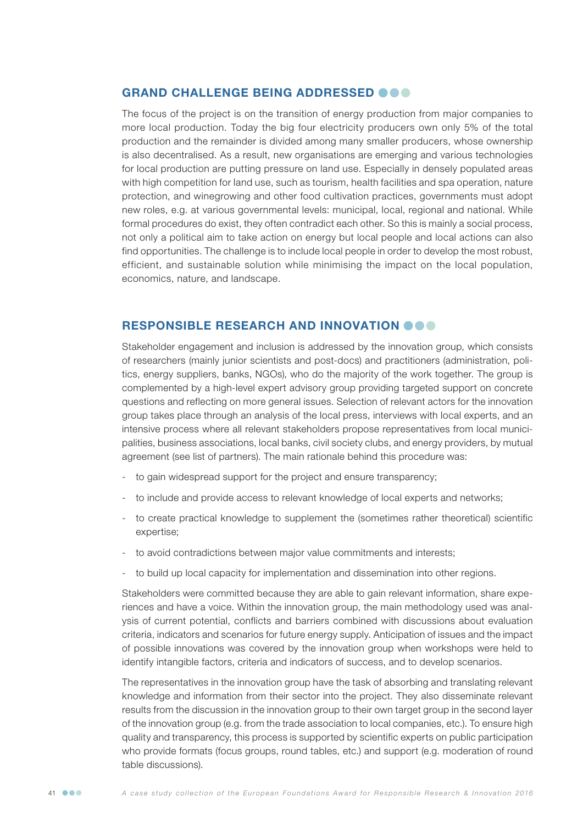### GRAND CHALLENGE BEING ADDRESSED @@@

The focus of the project is on the transition of energy production from major companies to more local production. Today the big four electricity producers own only 5% of the total production and the remainder is divided among many smaller producers, whose ownership is also decentralised. As a result, new organisations are emerging and various technologies for local production are putting pressure on land use. Especially in densely populated areas with high competition for land use, such as tourism, health facilities and spa operation, nature protection, and winegrowing and other food cultivation practices, governments must adopt new roles, e.g. at various governmental levels: municipal, local, regional and national. While formal procedures do exist, they often contradict each other. So this is mainly a social process, not only a political aim to take action on energy but local people and local actions can also find opportunities. The challenge is to include local people in order to develop the most robust, efficient, and sustainable solution while minimising the impact on the local population, economics, nature, and landscape.

#### RESPONSIBLE RESEARCH AND INNOVATION  $\bullet \bullet \bullet$

Stakeholder engagement and inclusion is addressed by the innovation group, which consists of researchers (mainly junior scientists and post-docs) and practitioners (administration, politics, energy suppliers, banks, NGOs), who do the majority of the work together. The group is complemented by a high-level expert advisory group providing targeted support on concrete questions and reflecting on more general issues. Selection of relevant actors for the innovation group takes place through an analysis of the local press, interviews with local experts, and an intensive process where all relevant stakeholders propose representatives from local municipalities, business associations, local banks, civil society clubs, and energy providers, by mutual agreement (see list of partners). The main rationale behind this procedure was:

- to gain widespread support for the project and ensure transparency;
- to include and provide access to relevant knowledge of local experts and networks;
- to create practical knowledge to supplement the (sometimes rather theoretical) scientific expertise;
- to avoid contradictions between major value commitments and interests;
- to build up local capacity for implementation and dissemination into other regions.

Stakeholders were committed because they are able to gain relevant information, share experiences and have a voice. Within the innovation group, the main methodology used was analysis of current potential, conflicts and barriers combined with discussions about evaluation criteria, indicators and scenarios for future energy supply. Anticipation of issues and the impact of possible innovations was covered by the innovation group when workshops were held to identify intangible factors, criteria and indicators of success, and to develop scenarios.

The representatives in the innovation group have the task of absorbing and translating relevant knowledge and information from their sector into the project. They also disseminate relevant results from the discussion in the innovation group to their own target group in the second layer of the innovation group (e.g. from the trade association to local companies, etc.). To ensure high quality and transparency, this process is supported by scientific experts on public participation who provide formats (focus groups, round tables, etc.) and support (e.g. moderation of round table discussions).